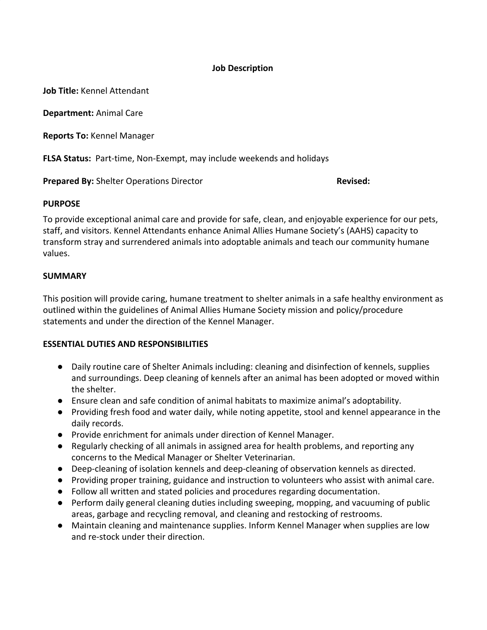### **Job Description**

**Job Title:** Kennel Attendant

**Department:** Animal Care

**Reports To:** Kennel Manager

**FLSA Status:** Part-time, Non-Exempt, may include weekends and holidays

**Prepared By:** Shelter Operations Director **Revised:** Revised:

#### **PURPOSE**

To provide exceptional animal care and provide for safe, clean, and enjoyable experience for our pets, staff, and visitors. Kennel Attendants enhance Animal Allies Humane Society's (AAHS) capacity to transform stray and surrendered animals into adoptable animals and teach our community humane values.

### **SUMMARY**

This position will provide caring, humane treatment to shelter animals in a safe healthy environment as outlined within the guidelines of Animal Allies Humane Society mission and policy/procedure statements and under the direction of the Kennel Manager.

### **ESSENTIAL DUTIES AND RESPONSIBILITIES**

- Daily routine care of Shelter Animals including: cleaning and disinfection of kennels, supplies and surroundings. Deep cleaning of kennels after an animal has been adopted or moved within the shelter.
- Ensure clean and safe condition of animal habitats to maximize animal's adoptability.
- Providing fresh food and water daily, while noting appetite, stool and kennel appearance in the daily records.
- Provide enrichment for animals under direction of Kennel Manager.
- Regularly checking of all animals in assigned area for health problems, and reporting any concerns to the Medical Manager or Shelter Veterinarian.
- Deep-cleaning of isolation kennels and deep-cleaning of observation kennels as directed.
- Providing proper training, guidance and instruction to volunteers who assist with animal care.
- Follow all written and stated policies and procedures regarding documentation.
- Perform daily general cleaning duties including sweeping, mopping, and vacuuming of public areas, garbage and recycling removal, and cleaning and restocking of restrooms.
- Maintain cleaning and maintenance supplies. Inform Kennel Manager when supplies are low and re-stock under their direction.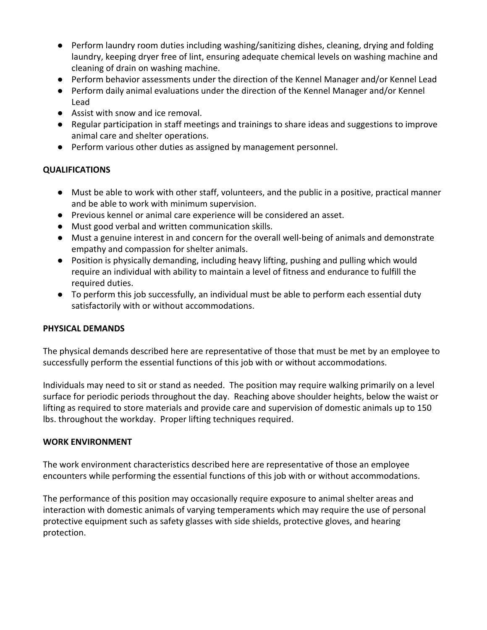- Perform laundry room duties including washing/sanitizing dishes, cleaning, drying and folding laundry, keeping dryer free of lint, ensuring adequate chemical levels on washing machine and cleaning of drain on washing machine.
- Perform behavior assessments under the direction of the Kennel Manager and/or Kennel Lead
- Perform daily animal evaluations under the direction of the Kennel Manager and/or Kennel Lead
- Assist with snow and ice removal.
- Regular participation in staff meetings and trainings to share ideas and suggestions to improve animal care and shelter operations.
- Perform various other duties as assigned by management personnel.

# **QUALIFICATIONS**

- Must be able to work with other staff, volunteers, and the public in a positive, practical manner and be able to work with minimum supervision.
- Previous kennel or animal care experience will be considered an asset.
- Must good verbal and written communication skills.
- Must a genuine interest in and concern for the overall well-being of animals and demonstrate empathy and compassion for shelter animals.
- Position is physically demanding, including heavy lifting, pushing and pulling which would require an individual with ability to maintain a level of fitness and endurance to fulfill the required duties.
- To perform this job successfully, an individual must be able to perform each essential duty satisfactorily with or without accommodations.

# **PHYSICAL DEMANDS**

The physical demands described here are representative of those that must be met by an employee to successfully perform the essential functions of this job with or without accommodations.

Individuals may need to sit or stand as needed. The position may require walking primarily on a level surface for periodic periods throughout the day. Reaching above shoulder heights, below the waist or lifting as required to store materials and provide care and supervision of domestic animals up to 150 lbs. throughout the workday. Proper lifting techniques required.

# **WORK ENVIRONMENT**

The work environment characteristics described here are representative of those an employee encounters while performing the essential functions of this job with or without accommodations.

The performance of this position may occasionally require exposure to animal shelter areas and interaction with domestic animals of varying temperaments which may require the use of personal protective equipment such as safety glasses with side shields, protective gloves, and hearing protection.